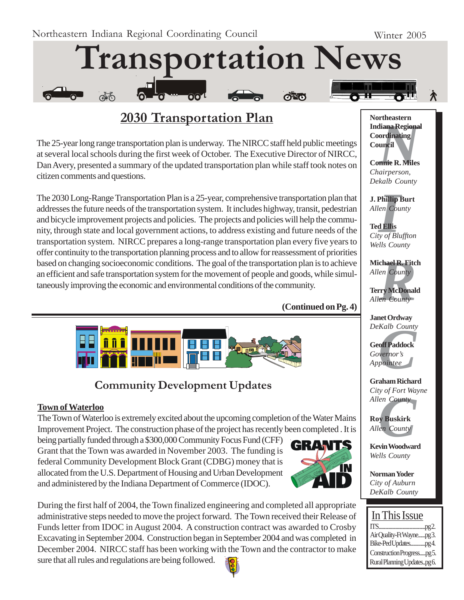

## **2030 Transportation Plan**

The 25-year long range transportation plan is underway. The NIRCC staff held public meetings at several local schools during the first week of October. The Executive Director of NIRCC, Dan Avery, presented a summary of the updated transportation plan while staff took notes on citizen comments and questions.

The 2030 Long-Range Transportation Plan is a 25-year, comprehensive transportation plan that addresses the future needs of the transportation system. It includes highway, transit, pedestrian and bicycle improvement projects and policies. The projects and policies will help the community, through state and local government actions, to address existing and future needs of the transportation system. NIRCC prepares a long-range transportation plan every five years to offer continuity to the transportation planning process and to allow for reassessment of priorities based on changing socioeconomic conditions. The goal of the transportation plan is to achieve an efficient and safe transportation system for the movement of people and goods, while simultaneously improving the economic and environmental conditions of the community.





## **Community Development Updates**

#### **Town of Waterloo**

The Town of Waterloo is extremely excited about the upcoming completion of the Water Mains Improvement Project. The construction phase of the project has recently been completed . It is

being partially funded through a \$300,000 Community Focus Fund (CFF) Grant that the Town was awarded in November 2003. The funding is federal Community Development Block Grant (CDBG) money that is allocated from the U.S. Department of Housing and Urban Development and administered by the Indiana Department of Commerce (IDOC).



During the first half of 2004, the Town finalized engineering and completed all appropriate administrative steps needed to move the project forward. The Town received their Release of Funds letter from IDOC in August 2004. A construction contract was awarded to Crosby Excavating in September 2004. Construction began in September 2004 and was completed in December 2004. NIRCC staff has been working with the Town and the contractor to make sure that all rules and regulations are being followed.



*N*<br>**Iliana Regiona<br>ordinating<br>uncil<br><b>nnie R. Miles**<br>airperson, **Northeastern Indiana Regional Coordinating Council**

**Connie R. Miles** *Chairperson, Dekalb County*

**J. Phillip Burt** *Allen County*

**Phillip**<br>*I*<br>**I** Ellis<br>*I Of Blue*<br>*I* **Ted Ellis** *City of Bluffton Wells County*

**chael R. Fitc**<br> *en County*<br> **rry McDonal**<br> *en County* **Michael R. Fitch** *Allen County*

**Terry McDonald** *Allen County*

**Janet Ordway** *DeKalb County*

*Kalb County*<br>**off Paddock**<br>vernor's<br>pointee **Geoff Paddock** *Governor's Appointee*

**Graham Richard** *City of Fort Wayne*

*Cuy of Port wa<br>Allen County*<br>**Roy Buskirk**<br>*Allen County*<br>**Kevin Woodwar Roy Buskirk** *Allen County*

**Kevin Woodward** *Wells County*

**Norman Yoder** *City of Auburn DeKalb County*

### In This Issue

| Air Quality-Ft Waynepg3.   |  |
|----------------------------|--|
| Bike-Ped Updatespg4.       |  |
| Construction Progresspg5.  |  |
| Rural Planning Updatespg6. |  |

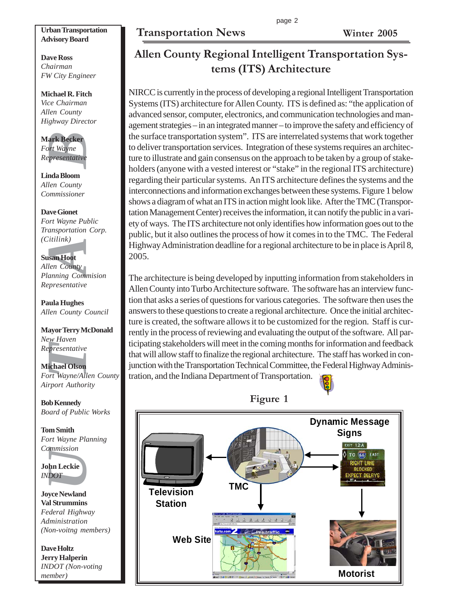### **Transportation News Winter 2005**

#### **Urban Transportation Advisory Board**

**Dave Ross** *Chairman FW City Engineer*

**Michael R. Fitch** *Vice Chairman Allen County Highway Director*

**Mark Becker** *Fort Wayne Representative*

**Linda Bloom** *Allen County Commissioner*

**EXECT:**<br>
Fournance Section Wayne<br>
Fournance Presentative<br>
India Bloom<br>
Ien County<br>
Dominissioner<br>
Ansportation<br>
University<br>
San Hoot<br>
University<br>
University<br>
University<br>
University<br>
University<br>
Presentative<br>
University<br>
P **Dave Gionet** *Fort Wayne Public Transportation Corp. (Citilink)*

#### **Susan Hoot**

*Allen County Planning Commision Representative*

**Paula Hughes** *Allen County Council*

**Mayor Terry McDonald** *New Haven Representative*

## **Michael Olson**

*Fort Wayne/Allen County Airport Authority*

**Bob Kennedy** *Board of Public Works*

**Tom Smith** *Fort Wayne Planning Commission*

**John Leckie** *INDOT*

**Joyce Newland Val Strummins** *Federal Highway Administration (Non-voitng members)*

**Dave Holtz Jerry Halperin** *INDOT (Non-voting member)*

# **Allen County Regional Intelligent Transportation Systems (ITS) Architecture**

NIRCC is currently in the process of developing a regional Intelligent Transportation Systems (ITS) architecture for Allen County. ITS is defined as: "the application of advanced sensor, computer, electronics, and communication technologies and management strategies – in an integrated manner – to improve the safety and efficiency of the surface transportation system". ITS are interrelated systems that work together to deliver transportation services. Integration of these systems requires an architecture to illustrate and gain consensus on the approach to be taken by a group of stakeholders (anyone with a vested interest or "stake" in the regional ITS architecture) regarding their particular systems. An ITS architecture defines the systems and the interconnections and information exchanges between these systems. Figure 1 below shows a diagram of what an ITS in action might look like. After the TMC (Transportation Management Center) receives the information, it can notify the public in a variety of ways. The ITS architecture not only identifies how information goes out to the public, but it also outlines the process of how it comes in to the TMC. The Federal Highway Administration deadline for a regional architecture to be in place is April 8, 2005.

The architecture is being developed by inputting information from stakeholders in Allen County into Turbo Architecture software. The software has an interview function that asks a series of questions for various categories. The software then uses the answers to these questions to create a regional architecture. Once the initial architecture is created, the software allows it to be customized for the region. Staff is currently in the process of reviewing and evaluating the output of the software. All participating stakeholders will meet in the coming months for information and feedback that will allow staff to finalize the regional architecture. The staff has worked in conjunction with the Transportation Technical Committee, the Federal Highway Administration, and the Indiana Department of Transportation.



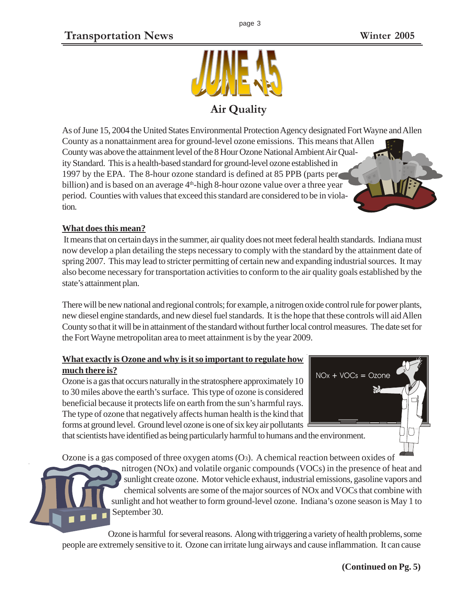

As of June 15, 2004 the United States Environmental Protection Agency designated Fort Wayne and Allen County as a nonattainment area for ground-level ozone emissions. This means that Allen County was above the attainment level of the 8 Hour Ozone National Ambient Air Quality Standard. This is a health-based standard for ground-level ozone established in 1997 by the EPA. The 8-hour ozone standard is defined at 85 PPB (parts per billion) and is based on an average  $4<sup>th</sup>$ -high 8-hour ozone value over a three year period. Counties with values that exceed this standard are considered to be in violation.

### **What does this mean?**

 It means that on certain days in the summer, air quality does not meet federal health standards. Indiana must now develop a plan detailing the steps necessary to comply with the standard by the attainment date of spring 2007. This may lead to stricter permitting of certain new and expanding industrial sources. It may also become necessary for transportation activities to conform to the air quality goals established by the state's attainment plan.

There will be new national and regional controls; for example, a nitrogen oxide control rule for power plants, new diesel engine standards, and new diesel fuel standards. It is the hope that these controls will aid Allen County so that it will be in attainment of the standard without further local control measures. The date set for the Fort Wayne metropolitan area to meet attainment is by the year 2009.

### **What exactly is Ozone and why is it so important to regulate how much there is?**

Ozone is a gas that occurs naturally in the stratosphere approximately 10 to 30 miles above the earth's surface. This type of ozone is considered beneficial because it protects life on earth from the sun's harmful rays. The type of ozone that negatively affects human health is the kind that forms at ground level. Ground level ozone is one of six key air pollutants

that scientists have identified as being particularly harmful to humans and the environment.

Ozone is a gas composed of three oxygen atoms  $(O_3)$ . A chemical reaction between oxides of



nitrogen (NOx) and volatile organic compounds (VOCs) in the presence of heat and sunlight create ozone. Motor vehicle exhaust, industrial emissions, gasoline vapors and chemical solvents are some of the major sources of NOx and VOCs that combine with sunlight and hot weather to form ground-level ozone. Indiana's ozone season is May 1 to September 30.

Ozone is harmful for several reasons. Along with triggering a variety of health problems, some people are extremely sensitive to it. Ozone can irritate lung airways and cause inflammation. It can cause

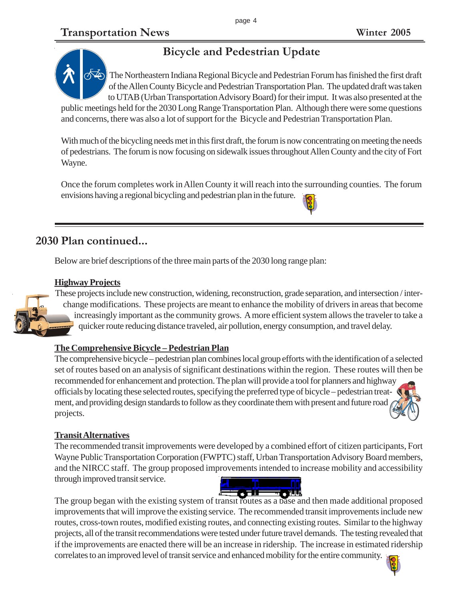# **Bicycle and Pedestrian Update**

The Northeastern Indiana Regional Bicycle and Pedestrian Forum has finished the first draft of the Allen County Bicycle and Pedestrian Transportation Plan. The updated draft was taken to UTAB (Urban Transportation Advisory Board) for their imput. It was also presented at the

public meetings held for the 2030 Long Range Transportation Plan. Although there were some questions and concerns, there was also a lot of support for the Bicycle and Pedestrian Transportation Plan.

With much of the bicycling needs met in this first draft, the forum is now concentrating on meeting the needs of pedestrians. The forum is now focusing on sidewalk issues throughout Allen County and the city of Fort Wayne.

Once the forum completes work in Allen County it will reach into the surrounding counties. The forum envisions having a regional bicycling and pedestrian plan in the future.

### **2030 Plan continued...**

Below are brief descriptions of the three main parts of the 2030 long range plan:

### **Highway Projects**

These projects include new construction, widening, reconstruction, grade separation, and intersection / interchange modifications. These projects are meant to enhance the mobility of drivers in areas that become increasingly important as the community grows. A more efficient system allows the traveler to take a quicker route reducing distance traveled, air pollution, energy consumption, and travel delay.

#### **The Comprehensive Bicycle – Pedestrian Plan**

The comprehensive bicycle – pedestrian plan combines local group efforts with the identification of a selected set of routes based on an analysis of significant destinations within the region. These routes will then be recommended for enhancement and protection. The plan will provide a tool for planners and highway officials by locating these selected routes, specifying the preferred type of bicycle – pedestrian treatment, and providing design standards to follow as they coordinate them with present and future road projects.

#### **Transit Alternatives**

The recommended transit improvements were developed by a combined effort of citizen participants, Fort Wayne Public Transportation Corporation (FWPTC) staff, Urban Transportation Advisory Board members, and the NIRCC staff. The group proposed improvements intended to increase mobility and accessibility through improved transit service.



The group began with the existing system of transit routes as a base and then made additional proposed improvements that will improve the existing service. The recommended transit improvements include new routes, cross-town routes, modified existing routes, and connecting existing routes. Similar to the highway projects, all of the transit recommendations were tested under future travel demands. The testing revealed that if the improvements are enacted there will be an increase in ridership. The increase in estimated ridership correlates to an improved level of transit service and enhanced mobility for the entire community.







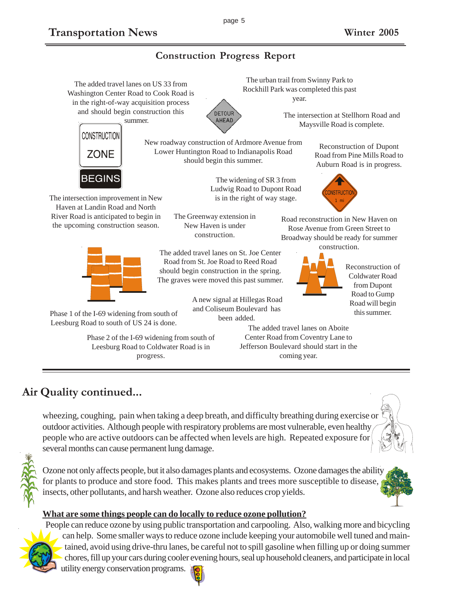### **Construction Progress Report**

The added travel lanes on US 33 from Washington Center Road to Cook Road is in the right-of-way acquisition process and should begin construction this summer.



New roadway construction of Ardmore Avenue from Lower Huntington Road to Indianapolis Road should begin this summer.

> The widening of SR 3 from Ludwig Road to Dupont Road is in the right of way stage.

The urban trail from Swinny Park to Rockhill Park was completed this past year.

> The intersection at Stellhorn Road and Maysville Road is complete.



The intersection improvement in New Haven at Landin Road and North River Road is anticipated to begin in the upcoming construction season.



Phase 1 of the I-69 widening from south of Leesburg Road to south of US 24 is done.

> Phase 2 of the I-69 widening from south of Leesburg Road to Coldwater Road is in progress.

The Greenway extension in New Haven is under construction.

The added travel lanes on St. Joe Center Road from St. Joe Road to Reed Road should begin construction in the spring. The graves were moved this past summer.

> A new signal at Hillegas Road and Coliseum Boulevard has been added.

Reconstruction of Dupont Road from Pine Mills Road to Auburn Road is in progress.



Road reconstruction in New Haven on Rose Avenue from Green Street to Broadway should be ready for summer construction.



Reconstruction of Coldwater Road from Dupont Road to Gump Road will begin this summer.

The added travel lanes on Aboite Center Road from Coventry Lane to Jefferson Boulevard should start in the coming year.

## **Air Quality continued...**

wheezing, coughing, pain when taking a deep breath, and difficulty breathing during exercise or outdoor activities. Although people with respiratory problems are most vulnerable, even healthy people who are active outdoors can be affected when levels are high. Repeated exposure for several months can cause permanent lung damage.



Ozone not only affects people, but it also damages plants and ecosystems. Ozone damages the ability for plants to produce and store food. This makes plants and trees more susceptible to disease, insects, other pollutants, and harsh weather. Ozone also reduces crop yields.

### **What are some things people can do locally to reduce ozone pollution?**

People can reduce ozone by using public transportation and carpooling. Also, walking more and bicycling can help. Some smaller ways to reduce ozone include keeping your automobile well tuned and maintained, avoid using drive-thru lanes, be careful not to spill gasoline when filling up or doing summer chores, fill up your cars during cooler evening hours, seal up household cleaners, and participate in local

utility energy conservation programs.